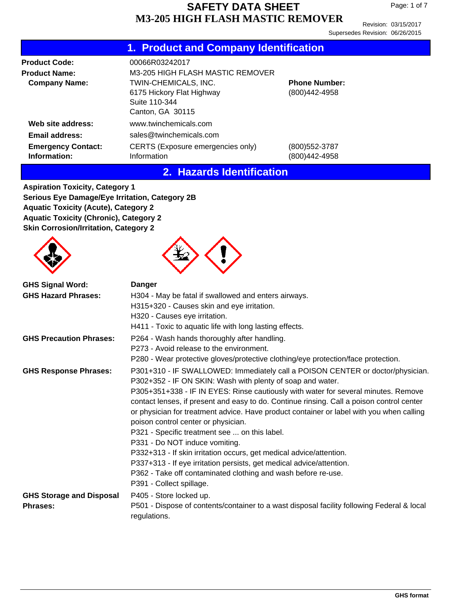Revision: 03/15/2017 Supersedes Revision: 06/26/2015

| 1. Product and Company Identification |  |  |  |  |  |
|---------------------------------------|--|--|--|--|--|
|---------------------------------------|--|--|--|--|--|

| <b>Product Code:</b>                                                                                           | 00066R03242017                                   |                                       |
|----------------------------------------------------------------------------------------------------------------|--------------------------------------------------|---------------------------------------|
| <b>Product Name:</b>                                                                                           | M3-205 HIGH FLASH MASTIC REMOVER                 |                                       |
| TWIN-CHEMICALS, INC.<br><b>Company Name:</b><br>6175 Hickory Flat Highway<br>Suite 110-344<br>Canton, GA 30115 |                                                  | <b>Phone Number:</b><br>(800)442-4958 |
| Web site address:                                                                                              | www.twinchemicals.com                            |                                       |
| <b>Email address:</b>                                                                                          | sales@twinchemicals.com                          |                                       |
| <b>Emergency Contact:</b><br>Information:                                                                      | CERTS (Exposure emergencies only)<br>Information | (800) 552-3787<br>(800)442-4958       |

#### **2. Hazards Identification**

**Aspiration Toxicity, Category 1 Serious Eye Damage/Eye Irritation, Category 2B Aquatic Toxicity (Acute), Category 2 Aquatic Toxicity (Chronic), Category 2 Skin Corrosion/Irritation, Category 2**

| <b>GHS Signal Word:</b>                            | <b>Danger</b>                                                                                                                                                                                                                                                                                                                                                                                                                                                                                                                                                                                                                |
|----------------------------------------------------|------------------------------------------------------------------------------------------------------------------------------------------------------------------------------------------------------------------------------------------------------------------------------------------------------------------------------------------------------------------------------------------------------------------------------------------------------------------------------------------------------------------------------------------------------------------------------------------------------------------------------|
| <b>GHS Hazard Phrases:</b>                         | H304 - May be fatal if swallowed and enters airways.                                                                                                                                                                                                                                                                                                                                                                                                                                                                                                                                                                         |
|                                                    | H315+320 - Causes skin and eye irritation.                                                                                                                                                                                                                                                                                                                                                                                                                                                                                                                                                                                   |
|                                                    | H320 - Causes eye irritation.                                                                                                                                                                                                                                                                                                                                                                                                                                                                                                                                                                                                |
|                                                    | H411 - Toxic to aquatic life with long lasting effects.                                                                                                                                                                                                                                                                                                                                                                                                                                                                                                                                                                      |
| <b>GHS Precaution Phrases:</b>                     | P264 - Wash hands thoroughly after handling.<br>P273 - Avoid release to the environment.                                                                                                                                                                                                                                                                                                                                                                                                                                                                                                                                     |
|                                                    | P280 - Wear protective gloves/protective clothing/eye protection/face protection.                                                                                                                                                                                                                                                                                                                                                                                                                                                                                                                                            |
| <b>GHS Response Phrases:</b>                       | P301+310 - IF SWALLOWED: Immediately call a POISON CENTER or doctor/physician.<br>P302+352 - IF ON SKIN: Wash with plenty of soap and water.<br>P305+351+338 - IF IN EYES: Rinse cautiously with water for several minutes. Remove<br>contact lenses, if present and easy to do. Continue rinsing. Call a poison control center<br>or physician for treatment advice. Have product container or label with you when calling<br>poison control center or physician.<br>P321 - Specific treatment see  on this label.<br>P331 - Do NOT induce vomiting.<br>P332+313 - If skin irritation occurs, get medical advice/attention. |
|                                                    | P337+313 - If eye irritation persists, get medical advice/attention.                                                                                                                                                                                                                                                                                                                                                                                                                                                                                                                                                         |
|                                                    | P362 - Take off contaminated clothing and wash before re-use.<br>P391 - Collect spillage.                                                                                                                                                                                                                                                                                                                                                                                                                                                                                                                                    |
| <b>GHS Storage and Disposal</b><br><b>Phrases:</b> | P405 - Store locked up.<br>P501 - Dispose of contents/container to a wast disposal facility following Federal & local<br>regulations.                                                                                                                                                                                                                                                                                                                                                                                                                                                                                        |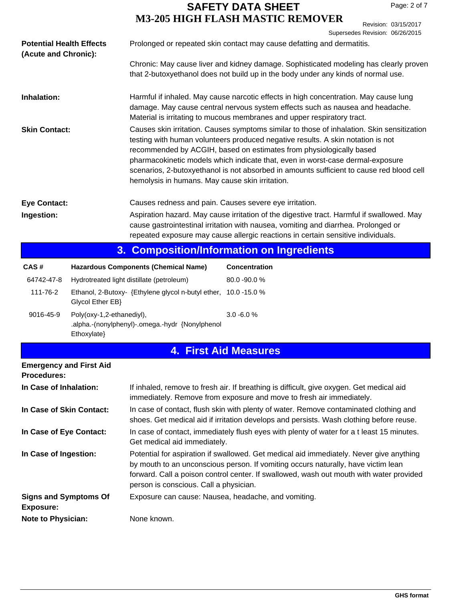# **SAFETY DATA SHEET**

|                                                         |                                                                                     |                                                                                                                                                                                                                                                                                                                                                                                                                                                                                       | <b>M3-205 HIGH FLASH MASTIC REMOVER</b><br>Revision: 03/15/2017                                                                                                            |  |  |
|---------------------------------------------------------|-------------------------------------------------------------------------------------|---------------------------------------------------------------------------------------------------------------------------------------------------------------------------------------------------------------------------------------------------------------------------------------------------------------------------------------------------------------------------------------------------------------------------------------------------------------------------------------|----------------------------------------------------------------------------------------------------------------------------------------------------------------------------|--|--|
| <b>Potential Health Effects</b><br>(Acute and Chronic): |                                                                                     |                                                                                                                                                                                                                                                                                                                                                                                                                                                                                       | Supersedes Revision: 06/26/2015<br>Prolonged or repeated skin contact may cause defatting and dermatitis.                                                                  |  |  |
|                                                         |                                                                                     |                                                                                                                                                                                                                                                                                                                                                                                                                                                                                       | Chronic: May cause liver and kidney damage. Sophisticated modeling has clearly proven<br>that 2-butoxyethanol does not build up in the body under any kinds of normal use. |  |  |
| Inhalation:                                             |                                                                                     | Harmful if inhaled. May cause narcotic effects in high concentration. May cause lung<br>damage. May cause central nervous system effects such as nausea and headache.<br>Material is irritating to mucous membranes and upper respiratory tract.                                                                                                                                                                                                                                      |                                                                                                                                                                            |  |  |
| <b>Skin Contact:</b>                                    |                                                                                     | Causes skin irritation. Causes symptoms similar to those of inhalation. Skin sensitization<br>testing with human volunteers produced negative results. A skin notation is not<br>recommended by ACGIH, based on estimates from physiologically based<br>pharmacokinetic models which indicate that, even in worst-case dermal-exposure<br>scenarios, 2-butoxyethanol is not absorbed in amounts sufficient to cause red blood cell<br>hemolysis in humans. May cause skin irritation. |                                                                                                                                                                            |  |  |
| <b>Eye Contact:</b><br>Ingestion:                       |                                                                                     | Causes redness and pain. Causes severe eye irritation.<br>Aspiration hazard. May cause irritation of the digestive tract. Harmful if swallowed. May<br>cause gastrointestinal irritation with nausea, vomiting and diarrhea. Prolonged or                                                                                                                                                                                                                                             |                                                                                                                                                                            |  |  |
|                                                         |                                                                                     |                                                                                                                                                                                                                                                                                                                                                                                                                                                                                       | repeated exposure may cause allergic reactions in certain sensitive individuals.                                                                                           |  |  |
|                                                         |                                                                                     |                                                                                                                                                                                                                                                                                                                                                                                                                                                                                       | 3. Composition/Information on Ingredients                                                                                                                                  |  |  |
| CAS#                                                    |                                                                                     | <b>Hazardous Components (Chemical Name)</b>                                                                                                                                                                                                                                                                                                                                                                                                                                           | <b>Concentration</b>                                                                                                                                                       |  |  |
| 64742-47-8                                              | Hydrotreated light distillate (petroleum)<br>80.0 - 90.0 %                          |                                                                                                                                                                                                                                                                                                                                                                                                                                                                                       |                                                                                                                                                                            |  |  |
| 111-76-2                                                | Ethanol, 2-Butoxy- {Ethylene glycol n-butyl ether, 10.0 -15.0 %<br>Glycol Ether EB} |                                                                                                                                                                                                                                                                                                                                                                                                                                                                                       |                                                                                                                                                                            |  |  |
| 9016-45-9                                               | Poly(oxy-1,2-ethanediyl),<br>Ethoxylate}                                            | .alpha.-(nonylphenyl)-.omega.-hydr {Nonylphenol                                                                                                                                                                                                                                                                                                                                                                                                                                       | $3.0 - 6.0 %$                                                                                                                                                              |  |  |
|                                                         |                                                                                     |                                                                                                                                                                                                                                                                                                                                                                                                                                                                                       | <b>4. First Aid Measures</b>                                                                                                                                               |  |  |
| <b>Emergency and First Aid</b><br><b>Procedures:</b>    |                                                                                     |                                                                                                                                                                                                                                                                                                                                                                                                                                                                                       |                                                                                                                                                                            |  |  |
| In Case of Inhalation:                                  |                                                                                     |                                                                                                                                                                                                                                                                                                                                                                                                                                                                                       | If inhaled, remove to fresh air. If breathing is difficult, give oxygen. Get medical aid<br>immediately. Remove from exposure and move to fresh air immediately.           |  |  |
| In Case of Skin Contact:                                |                                                                                     | In case of contact, flush skin with plenty of water. Remove contaminated clothing and<br>shoes. Get medical aid if irritation develops and persists. Wash clothing before reuse.                                                                                                                                                                                                                                                                                                      |                                                                                                                                                                            |  |  |
| In Case of Eye Contact:                                 |                                                                                     | In case of contact, immediately flush eyes with plenty of water for a t least 15 minutes.<br>Get medical aid immediately.                                                                                                                                                                                                                                                                                                                                                             |                                                                                                                                                                            |  |  |
| In Case of Ingestion:                                   |                                                                                     | Potential for aspiration if swallowed. Get medical aid immediately. Never give anything<br>by mouth to an unconscious person. If vomiting occurs naturally, have victim lean<br>forward. Call a poison control center. If swallowed, wash out mouth with water provided<br>person is conscious. Call a physician.                                                                                                                                                                     |                                                                                                                                                                            |  |  |
| <b>Signs and Symptoms Of</b><br><b>Exposure:</b>        |                                                                                     | Exposure can cause: Nausea, headache, and vomiting.                                                                                                                                                                                                                                                                                                                                                                                                                                   |                                                                                                                                                                            |  |  |
| Note to Physician:                                      |                                                                                     | None known.                                                                                                                                                                                                                                                                                                                                                                                                                                                                           |                                                                                                                                                                            |  |  |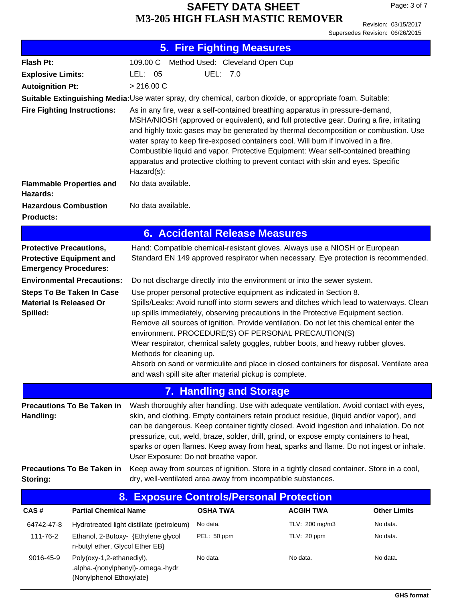|                                                                                                               | <b>5. Fire Fighting Measures</b>                                                                                                                                                                                                                                                                                                                                                                                                                                                                                                                                                                                                                                             |  |  |
|---------------------------------------------------------------------------------------------------------------|------------------------------------------------------------------------------------------------------------------------------------------------------------------------------------------------------------------------------------------------------------------------------------------------------------------------------------------------------------------------------------------------------------------------------------------------------------------------------------------------------------------------------------------------------------------------------------------------------------------------------------------------------------------------------|--|--|
| Flash Pt:                                                                                                     | Method Used: Cleveland Open Cup<br>109.00 C                                                                                                                                                                                                                                                                                                                                                                                                                                                                                                                                                                                                                                  |  |  |
| <b>Explosive Limits:</b>                                                                                      | UEL: 7.0<br>LEL: $05$                                                                                                                                                                                                                                                                                                                                                                                                                                                                                                                                                                                                                                                        |  |  |
| <b>Autoignition Pt:</b>                                                                                       | > 216.00 C                                                                                                                                                                                                                                                                                                                                                                                                                                                                                                                                                                                                                                                                   |  |  |
|                                                                                                               | Suitable Extinguishing Media: Use water spray, dry chemical, carbon dioxide, or appropriate foam. Suitable:                                                                                                                                                                                                                                                                                                                                                                                                                                                                                                                                                                  |  |  |
| <b>Fire Fighting Instructions:</b>                                                                            | As in any fire, wear a self-contained breathing apparatus in pressure-demand,<br>MSHA/NIOSH (approved or equivalent), and full protective gear. During a fire, irritating<br>and highly toxic gases may be generated by thermal decomposition or combustion. Use<br>water spray to keep fire-exposed containers cool. Will burn if involved in a fire.<br>Combustible liquid and vapor. Protective Equipment: Wear self-contained breathing<br>apparatus and protective clothing to prevent contact with skin and eyes. Specific<br>Hazard(s):                                                                                                                               |  |  |
| <b>Flammable Properties and</b><br>Hazards:                                                                   | No data available.                                                                                                                                                                                                                                                                                                                                                                                                                                                                                                                                                                                                                                                           |  |  |
| <b>Hazardous Combustion</b><br><b>Products:</b>                                                               | No data available.                                                                                                                                                                                                                                                                                                                                                                                                                                                                                                                                                                                                                                                           |  |  |
|                                                                                                               | <b>6. Accidental Release Measures</b>                                                                                                                                                                                                                                                                                                                                                                                                                                                                                                                                                                                                                                        |  |  |
| <b>Protective Precautions,</b><br><b>Protective Equipment and</b><br><b>Emergency Procedures:</b>             | Hand: Compatible chemical-resistant gloves. Always use a NIOSH or European<br>Standard EN 149 approved respirator when necessary. Eye protection is recommended.                                                                                                                                                                                                                                                                                                                                                                                                                                                                                                             |  |  |
| <b>Environmental Precautions:</b><br>Do not discharge directly into the environment or into the sewer system. |                                                                                                                                                                                                                                                                                                                                                                                                                                                                                                                                                                                                                                                                              |  |  |
| <b>Steps To Be Taken In Case</b><br><b>Material Is Released Or</b><br>Spilled:                                | Use proper personal protective equipment as indicated in Section 8.<br>Spills/Leaks: Avoid runoff into storm sewers and ditches which lead to waterways. Clean<br>up spills immediately, observing precautions in the Protective Equipment section.<br>Remove all sources of ignition. Provide ventilation. Do not let this chemical enter the<br>environment. PROCEDURE(S) OF PERSONAL PRECAUTION(S)<br>Wear respirator, chemical safety goggles, rubber boots, and heavy rubber gloves.<br>Methods for cleaning up.<br>Absorb on sand or vermiculite and place in closed containers for disposal. Ventilate area<br>and wash spill site after material pickup is complete. |  |  |
|                                                                                                               | <b>7. Handling and Storage</b>                                                                                                                                                                                                                                                                                                                                                                                                                                                                                                                                                                                                                                               |  |  |
| <b>Precautions To Be Taken in</b><br>Handling:                                                                | Wash thoroughly after handling. Use with adequate ventilation. Avoid contact with eyes,<br>skin, and clothing. Empty containers retain product residue, (liquid and/or vapor), and<br>can be dangerous. Keep container tightly closed. Avoid ingestion and inhalation. Do not<br>pressurize, cut, weld, braze, solder, drill, grind, or expose empty containers to heat,<br>sparks or open flames. Keep away from heat, sparks and flame. Do not ingest or inhale.<br>User Exposure: Do not breathe vapor.                                                                                                                                                                   |  |  |
| <b>Precautions To Be Taken in</b><br>Storing:                                                                 | Keep away from sources of ignition. Store in a tightly closed container. Store in a cool,<br>dry, well-ventilated area away from incompatible substances.                                                                                                                                                                                                                                                                                                                                                                                                                                                                                                                    |  |  |
| <sub>R</sub>                                                                                                  | <b>Exposure Controls/Personal Protection</b>                                                                                                                                                                                                                                                                                                                                                                                                                                                                                                                                                                                                                                 |  |  |

| 8. Exposure Controls/Personal Protection |                                                                                             |                 |                  |                     |
|------------------------------------------|---------------------------------------------------------------------------------------------|-----------------|------------------|---------------------|
| CAS#                                     | <b>Partial Chemical Name</b>                                                                | <b>OSHA TWA</b> | <b>ACGIH TWA</b> | <b>Other Limits</b> |
| 64742-47-8                               | Hydrotreated light distillate (petroleum)                                                   | No data.        | TLV: 200 mg/m3   | No data.            |
| 111-76-2                                 | Ethanol, 2-Butoxy- {Ethylene glycol<br>n-butyl ether, Glycol Ether EB}                      | PEL: 50 ppm     | TLV: 20 ppm      | No data.            |
| 9016-45-9                                | Poly(oxy-1,2-ethanediyl),<br>.alpha.-(nonylphenyl)-.omega.-hydr<br>{Nonylphenol Ethoxylate} | No data.        | No data.         | No data.            |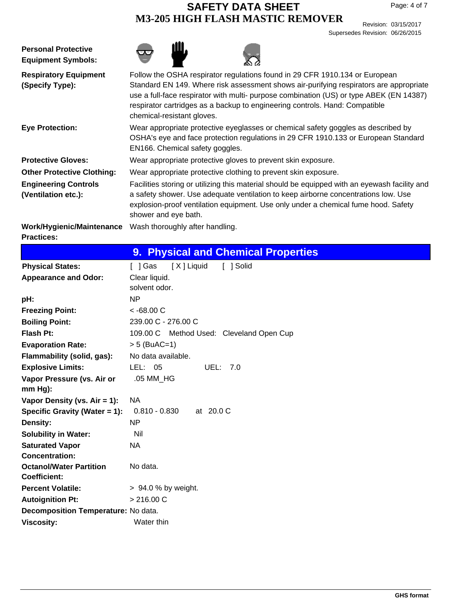| <b>Personal Protective</b><br><b>Equipment Symbols:</b> |                                                                                                                                                                                                                                                                                                                                                                               |
|---------------------------------------------------------|-------------------------------------------------------------------------------------------------------------------------------------------------------------------------------------------------------------------------------------------------------------------------------------------------------------------------------------------------------------------------------|
| <b>Respiratory Equipment</b><br>(Specify Type):         | Follow the OSHA respirator regulations found in 29 CFR 1910.134 or European<br>Standard EN 149. Where risk assessment shows air-purifying respirators are appropriate<br>use a full-face respirator with multi- purpose combination (US) or type ABEK (EN 14387)<br>respirator cartridges as a backup to engineering controls. Hand: Compatible<br>chemical-resistant gloves. |
| <b>Eye Protection:</b>                                  | Wear appropriate protective eyeglasses or chemical safety goggles as described by<br>OSHA's eye and face protection regulations in 29 CFR 1910.133 or European Standard<br>EN166. Chemical safety goggles.                                                                                                                                                                    |
| <b>Protective Gloves:</b>                               | Wear appropriate protective gloves to prevent skin exposure.                                                                                                                                                                                                                                                                                                                  |
| <b>Other Protective Clothing:</b>                       | Wear appropriate protective clothing to prevent skin exposure.                                                                                                                                                                                                                                                                                                                |
| <b>Engineering Controls</b><br>(Ventilation etc.):      | Facilities storing or utilizing this material should be equipped with an eyewash facility and<br>a safety shower. Use adequate ventilation to keep airborne concentrations low. Use<br>explosion-proof ventilation equipment. Use only under a chemical fume hood. Safety<br>shower and eye bath.                                                                             |
| Work/Hygienic/Maintenance<br><b>Practices:</b>          | Wash thoroughly after handling.                                                                                                                                                                                                                                                                                                                                               |

|                                     | <b>9. Physical and Chemical Properties</b> |
|-------------------------------------|--------------------------------------------|
| <b>Physical States:</b>             | [X] Liquid<br>[ ] Gas<br>[ ] Solid         |
| <b>Appearance and Odor:</b>         | Clear liquid.                              |
|                                     | solvent odor.                              |
| pH:                                 | <b>NP</b>                                  |
| <b>Freezing Point:</b>              | $< -68.00 C$                               |
| <b>Boiling Point:</b>               | 239.00 C - 276.00 C                        |
| Flash Pt:                           | 109.00 C Method Used: Cleveland Open Cup   |
| <b>Evaporation Rate:</b>            | $> 5$ (BuAC=1)                             |
| Flammability (solid, gas):          | No data available.                         |
| <b>Explosive Limits:</b>            | LEL: 05<br>UEL: 7.0                        |
| Vapor Pressure (vs. Air or          | .05 MM_HG                                  |
| $mm Hg$ :                           |                                            |
| Vapor Density (vs. Air = 1):        | NA.                                        |
| Specific Gravity (Water = 1):       | $0.810 - 0.830$<br>at 20.0 C               |
| <b>Density:</b>                     | <b>NP</b>                                  |
| <b>Solubility in Water:</b>         | Nil                                        |
| <b>Saturated Vapor</b>              | <b>NA</b>                                  |
| <b>Concentration:</b>               |                                            |
| <b>Octanol/Water Partition</b>      | No data.                                   |
| <b>Coefficient:</b>                 |                                            |
| <b>Percent Volatile:</b>            | $> 94.0 %$ by weight.                      |
| <b>Autoignition Pt:</b>             | > 216.00 C                                 |
| Decomposition Temperature: No data. |                                            |
| <b>Viscosity:</b>                   | Water thin                                 |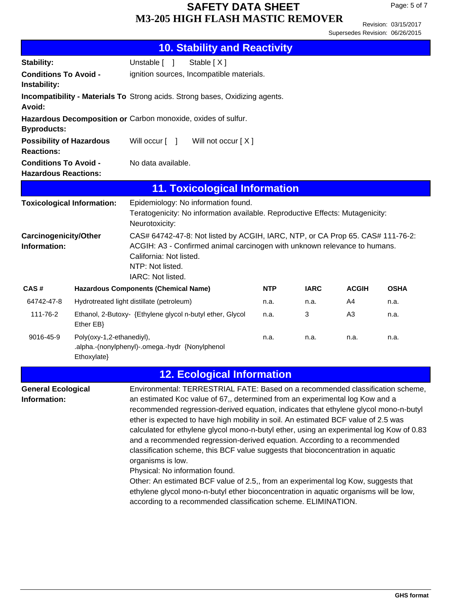|                                                             |                                                                                             |                                                                                                                                                                                                                                 | <b>10. Stability and Reactivity</b>                                                                                                                                                                                                                                                                                                                                                                                                                                                                                                                                                                                                                                                                                                                                                                                                                       |            |             |                |             |
|-------------------------------------------------------------|---------------------------------------------------------------------------------------------|---------------------------------------------------------------------------------------------------------------------------------------------------------------------------------------------------------------------------------|-----------------------------------------------------------------------------------------------------------------------------------------------------------------------------------------------------------------------------------------------------------------------------------------------------------------------------------------------------------------------------------------------------------------------------------------------------------------------------------------------------------------------------------------------------------------------------------------------------------------------------------------------------------------------------------------------------------------------------------------------------------------------------------------------------------------------------------------------------------|------------|-------------|----------------|-------------|
| Stability:                                                  | Unstable [ ]<br>Stable [X]                                                                  |                                                                                                                                                                                                                                 |                                                                                                                                                                                                                                                                                                                                                                                                                                                                                                                                                                                                                                                                                                                                                                                                                                                           |            |             |                |             |
| <b>Conditions To Avoid -</b><br>Instability:                |                                                                                             | ignition sources, Incompatible materials.                                                                                                                                                                                       |                                                                                                                                                                                                                                                                                                                                                                                                                                                                                                                                                                                                                                                                                                                                                                                                                                                           |            |             |                |             |
| Avoid:                                                      |                                                                                             | Incompatibility - Materials To Strong acids. Strong bases, Oxidizing agents.                                                                                                                                                    |                                                                                                                                                                                                                                                                                                                                                                                                                                                                                                                                                                                                                                                                                                                                                                                                                                                           |            |             |                |             |
| <b>Byproducts:</b>                                          |                                                                                             |                                                                                                                                                                                                                                 | Hazardous Decomposition or Carbon monoxide, oxides of sulfur.                                                                                                                                                                                                                                                                                                                                                                                                                                                                                                                                                                                                                                                                                                                                                                                             |            |             |                |             |
| <b>Possibility of Hazardous</b><br><b>Reactions:</b>        |                                                                                             | Will occur [ ]                                                                                                                                                                                                                  | Will not occur [X]                                                                                                                                                                                                                                                                                                                                                                                                                                                                                                                                                                                                                                                                                                                                                                                                                                        |            |             |                |             |
| <b>Conditions To Avoid -</b><br><b>Hazardous Reactions:</b> |                                                                                             | No data available.                                                                                                                                                                                                              |                                                                                                                                                                                                                                                                                                                                                                                                                                                                                                                                                                                                                                                                                                                                                                                                                                                           |            |             |                |             |
|                                                             |                                                                                             |                                                                                                                                                                                                                                 | <b>11. Toxicological Information</b>                                                                                                                                                                                                                                                                                                                                                                                                                                                                                                                                                                                                                                                                                                                                                                                                                      |            |             |                |             |
| <b>Toxicological Information:</b>                           |                                                                                             | Epidemiology: No information found.<br>Teratogenicity: No information available. Reproductive Effects: Mutagenicity:<br>Neurotoxicity:                                                                                          |                                                                                                                                                                                                                                                                                                                                                                                                                                                                                                                                                                                                                                                                                                                                                                                                                                                           |            |             |                |             |
| <b>Carcinogenicity/Other</b><br>Information:                |                                                                                             | CAS# 64742-47-8: Not listed by ACGIH, IARC, NTP, or CA Prop 65. CAS# 111-76-2:<br>ACGIH: A3 - Confirmed animal carcinogen with unknown relevance to humans.<br>California: Not listed.<br>NTP: Not listed.<br>IARC: Not listed. |                                                                                                                                                                                                                                                                                                                                                                                                                                                                                                                                                                                                                                                                                                                                                                                                                                                           |            |             |                |             |
| CAS#                                                        | <b>Hazardous Components (Chemical Name)</b>                                                 |                                                                                                                                                                                                                                 |                                                                                                                                                                                                                                                                                                                                                                                                                                                                                                                                                                                                                                                                                                                                                                                                                                                           | <b>NTP</b> | <b>IARC</b> | <b>ACGIH</b>   | <b>OSHA</b> |
| 64742-47-8                                                  | Hydrotreated light distillate (petroleum)                                                   |                                                                                                                                                                                                                                 |                                                                                                                                                                                                                                                                                                                                                                                                                                                                                                                                                                                                                                                                                                                                                                                                                                                           | n.a.       | n.a.        | A4             | n.a.        |
| 111-76-2                                                    | Ethanol, 2-Butoxy- {Ethylene glycol n-butyl ether, Glycol<br>Ether EB}                      |                                                                                                                                                                                                                                 |                                                                                                                                                                                                                                                                                                                                                                                                                                                                                                                                                                                                                                                                                                                                                                                                                                                           | n.a.       | 3           | A <sub>3</sub> | n.a.        |
| 9016-45-9                                                   | Poly(oxy-1,2-ethanediyl),<br>.alpha.-(nonylphenyl)-.omega.-hydr {Nonylphenol<br>Ethoxylate} |                                                                                                                                                                                                                                 |                                                                                                                                                                                                                                                                                                                                                                                                                                                                                                                                                                                                                                                                                                                                                                                                                                                           | n.a.       | n.a.        | n.a.           | n.a.        |
|                                                             |                                                                                             |                                                                                                                                                                                                                                 | 12. Ecological Information                                                                                                                                                                                                                                                                                                                                                                                                                                                                                                                                                                                                                                                                                                                                                                                                                                |            |             |                |             |
| <b>General Ecological</b><br>Information:                   |                                                                                             | organisms is low.<br>Physical: No information found.                                                                                                                                                                            | Environmental: TERRESTRIAL FATE: Based on a recommended classification scheme,<br>an estimated Koc value of 67,, determined from an experimental log Kow and a<br>recommended regression-derived equation, indicates that ethylene glycol mono-n-butyl<br>ether is expected to have high mobility in soil. An estimated BCF value of 2.5 was<br>calculated for ethylene glycol mono-n-butyl ether, using an experimental log Kow of 0.83<br>and a recommended regression-derived equation. According to a recommended<br>classification scheme, this BCF value suggests that bioconcentration in aquatic<br>Other: An estimated BCF value of 2.5,, from an experimental log Kow, suggests that<br>ethylene glycol mono-n-butyl ether bioconcentration in aquatic organisms will be low,<br>according to a recommended classification scheme. ELIMINATION. |            |             |                |             |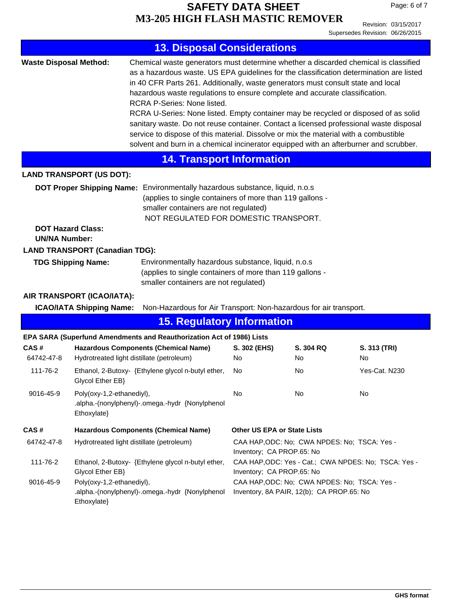|                                                                                                                                                                                                                               |                                                                                                   | <b>13. Disposal Considerations</b>                                                                                                                                                                                                                                                                                                                                                                                                                                                                                                                                                                                                                                                                                                                 |                                                                                           |                 |                    |
|-------------------------------------------------------------------------------------------------------------------------------------------------------------------------------------------------------------------------------|---------------------------------------------------------------------------------------------------|----------------------------------------------------------------------------------------------------------------------------------------------------------------------------------------------------------------------------------------------------------------------------------------------------------------------------------------------------------------------------------------------------------------------------------------------------------------------------------------------------------------------------------------------------------------------------------------------------------------------------------------------------------------------------------------------------------------------------------------------------|-------------------------------------------------------------------------------------------|-----------------|--------------------|
| <b>Waste Disposal Method:</b>                                                                                                                                                                                                 |                                                                                                   | Chemical waste generators must determine whether a discarded chemical is classified<br>as a hazardous waste. US EPA guidelines for the classification determination are listed<br>in 40 CFR Parts 261. Additionally, waste generators must consult state and local<br>hazardous waste regulations to ensure complete and accurate classification.<br>RCRA P-Series: None listed.<br>RCRA U-Series: None listed. Empty container may be recycled or disposed of as solid<br>sanitary waste. Do not reuse container. Contact a licensed professional waste disposal<br>service to dispose of this material. Dissolve or mix the material with a combustible<br>solvent and burn in a chemical incinerator equipped with an afterburner and scrubber. |                                                                                           |                 |                    |
|                                                                                                                                                                                                                               |                                                                                                   | <b>14. Transport Information</b>                                                                                                                                                                                                                                                                                                                                                                                                                                                                                                                                                                                                                                                                                                                   |                                                                                           |                 |                    |
|                                                                                                                                                                                                                               | <b>LAND TRANSPORT (US DOT):</b>                                                                   |                                                                                                                                                                                                                                                                                                                                                                                                                                                                                                                                                                                                                                                                                                                                                    |                                                                                           |                 |                    |
|                                                                                                                                                                                                                               |                                                                                                   | DOT Proper Shipping Name: Environmentally hazardous substance, liquid, n.o.s<br>(applies to single containers of more than 119 gallons -<br>smaller containers are not regulated)<br>NOT REGULATED FOR DOMESTIC TRANSPORT.                                                                                                                                                                                                                                                                                                                                                                                                                                                                                                                         |                                                                                           |                 |                    |
| <b>DOT Hazard Class:</b><br><b>UN/NA Number:</b>                                                                                                                                                                              |                                                                                                   |                                                                                                                                                                                                                                                                                                                                                                                                                                                                                                                                                                                                                                                                                                                                                    |                                                                                           |                 |                    |
| <b>LAND TRANSPORT (Canadian TDG):</b><br><b>TDG Shipping Name:</b><br>Environmentally hazardous substance, liquid, n.o.s<br>(applies to single containers of more than 119 gallons -<br>smaller containers are not regulated) |                                                                                                   |                                                                                                                                                                                                                                                                                                                                                                                                                                                                                                                                                                                                                                                                                                                                                    |                                                                                           |                 |                    |
|                                                                                                                                                                                                                               | AIR TRANSPORT (ICAO/IATA):                                                                        |                                                                                                                                                                                                                                                                                                                                                                                                                                                                                                                                                                                                                                                                                                                                                    |                                                                                           |                 |                    |
|                                                                                                                                                                                                                               | <b>ICAO/IATA Shipping Name:</b>                                                                   | Non-Hazardous for Air Transport: Non-hazardous for air transport.                                                                                                                                                                                                                                                                                                                                                                                                                                                                                                                                                                                                                                                                                  |                                                                                           |                 |                    |
|                                                                                                                                                                                                                               |                                                                                                   | <b>15. Regulatory Information</b>                                                                                                                                                                                                                                                                                                                                                                                                                                                                                                                                                                                                                                                                                                                  |                                                                                           |                 |                    |
|                                                                                                                                                                                                                               |                                                                                                   | EPA SARA (Superfund Amendments and Reauthorization Act of 1986) Lists                                                                                                                                                                                                                                                                                                                                                                                                                                                                                                                                                                                                                                                                              |                                                                                           |                 |                    |
| CAS#<br>64742-47-8                                                                                                                                                                                                            | Hydrotreated light distillate (petroleum)                                                         | <b>Hazardous Components (Chemical Name)</b>                                                                                                                                                                                                                                                                                                                                                                                                                                                                                                                                                                                                                                                                                                        | S. 302 (EHS)<br>No.                                                                       | S. 304 RQ<br>No | S. 313 (TRI)<br>No |
| 111-76-2                                                                                                                                                                                                                      | Ethanol, 2-Butoxy- {Ethylene glycol n-butyl ether,<br>Glycol Ether EB}                            |                                                                                                                                                                                                                                                                                                                                                                                                                                                                                                                                                                                                                                                                                                                                                    | No.                                                                                       | No.             | Yes-Cat. N230      |
| 9016-45-9                                                                                                                                                                                                                     | Poly(oxy-1,2-ethanediyl),<br>No<br>.alpha.-(nonylphenyl)-.omega.-hydr {Nonylphenol<br>Ethoxylate} |                                                                                                                                                                                                                                                                                                                                                                                                                                                                                                                                                                                                                                                                                                                                                    |                                                                                           | No              | No                 |
| CAS#                                                                                                                                                                                                                          | <b>Hazardous Components (Chemical Name)</b>                                                       |                                                                                                                                                                                                                                                                                                                                                                                                                                                                                                                                                                                                                                                                                                                                                    | <b>Other US EPA or State Lists</b>                                                        |                 |                    |
| 64742-47-8                                                                                                                                                                                                                    | Hydrotreated light distillate (petroleum)                                                         |                                                                                                                                                                                                                                                                                                                                                                                                                                                                                                                                                                                                                                                                                                                                                    | CAA HAP, ODC: No; CWA NPDES: No; TSCA: Yes -<br>Inventory; CA PROP.65: No                 |                 |                    |
| 111-76-2                                                                                                                                                                                                                      | Ethanol, 2-Butoxy- {Ethylene glycol n-butyl ether,<br>Glycol Ether EB}                            |                                                                                                                                                                                                                                                                                                                                                                                                                                                                                                                                                                                                                                                                                                                                                    | CAA HAP, ODC: Yes - Cat.; CWA NPDES: No; TSCA: Yes -<br>Inventory; CA PROP.65: No         |                 |                    |
| 9016-45-9                                                                                                                                                                                                                     | Poly(oxy-1,2-ethanediyl),<br>Ethoxylate}                                                          | .alpha.-(nonylphenyl)-.omega.-hydr {Nonylphenol                                                                                                                                                                                                                                                                                                                                                                                                                                                                                                                                                                                                                                                                                                    | CAA HAP, ODC: No; CWA NPDES: No; TSCA: Yes -<br>Inventory, 8A PAIR, 12(b); CA PROP.65: No |                 |                    |